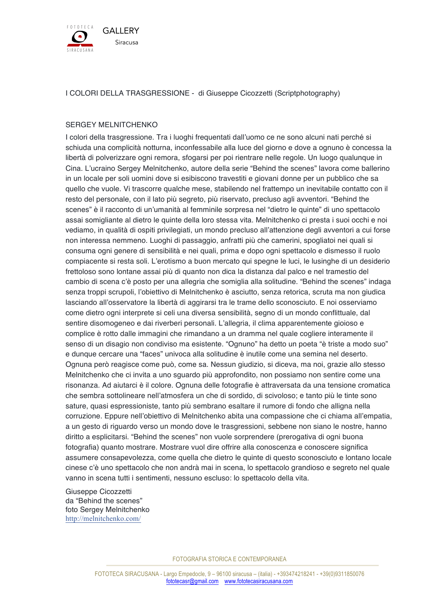

## I COLORI DELLA TRASGRESSIONE - di Giuseppe Cicozzetti (Scriptphotography)

## SERGEY MELNITCHENKO

I colori della trasgressione. Tra i luoghi frequentati dall'uomo ce ne sono alcuni nati perché si schiuda una complicità notturna, inconfessabile alla luce del giorno e dove a ognuno è concessa la libertà di polverizzare ogni remora, sfogarsi per poi rientrare nelle regole. Un luogo qualunque in Cina. L'ucraino Sergey Melnitchenko, autore della serie "Behind the scenes" lavora come ballerino in un locale per soli uomini dove si esibiscono travestiti e giovani donne per un pubblico che sa quello che vuole. Vi trascorre qualche mese, stabilendo nel frattempo un inevitabile contatto con il resto del personale, con il lato più segreto, più riservato, precluso agli avventori. "Behind the scenes" è il racconto di un'umanità al femminile sorpresa nel "dietro le quinte" di uno spettacolo assai somigliante al dietro le quinte della loro stessa vita. Melnitchenko ci presta i suoi occhi e noi vediamo, in qualità di ospiti privilegiati, un mondo precluso all'attenzione degli avventori a cui forse non interessa nemmeno. Luoghi di passaggio, anfratti più che camerini, spogliatoi nei quali si consuma ogni genere di sensibilità e nei quali, prima e dopo ogni spettacolo e dismesso il ruolo compiacente si resta soli. L'erotismo a buon mercato qui spegne le luci, le lusinghe di un desiderio frettoloso sono lontane assai più di quanto non dica la distanza dal palco e nel tramestio del cambio di scena c'è posto per una allegria che somiglia alla solitudine. "Behind the scenes" indaga senza troppi scrupoli, l'obiettivo di Melnitchenko è asciutto, senza retorica, scruta ma non giudica lasciando all'osservatore la libertà di aggirarsi tra le trame dello sconosciuto. E noi osserviamo come dietro ogni interprete si celi una diversa sensibilità, segno di un mondo conflittuale, dal sentire disomogeneo e dai riverberi personali. L'allegria, il clima apparentemente gioioso e complice è rotto dalle immagini che rimandano a un dramma nel quale cogliere interamente il senso di un disagio non condiviso ma esistente. "Ognuno" ha detto un poeta "è triste a modo suo" e dunque cercare una "faces" univoca alla solitudine è inutile come una semina nel deserto. Ognuna però reagisce come può, come sa. Nessun giudizio, si diceva, ma noi, grazie allo stesso Melnitchenko che ci invita a uno sguardo più approfondito, non possiamo non sentire come una risonanza. Ad aiutarci è il colore. Ognuna delle fotografie è attraversata da una tensione cromatica che sembra sottolineare nell'atmosfera un che di sordido, di scivoloso; e tanto più le tinte sono sature, quasi espressioniste, tanto più sembrano esaltare il rumore di fondo che alligna nella corruzione. Eppure nell'obiettivo di Melnitchenko abita una compassione che ci chiama all'empatia, a un gesto di riguardo verso un mondo dove le trasgressioni, sebbene non siano le nostre, hanno diritto a esplicitarsi. "Behind the scenes" non vuole sorprendere (prerogativa di ogni buona fotografia) quanto mostrare. Mostrare vuol dire offrire alla conoscenza e conoscere significa assumere consapevolezza, come quella che dietro le quinte di questo sconosciuto e lontano locale cinese c'è uno spettacolo che non andrà mai in scena, lo spettacolo grandioso e segreto nel quale vanno in scena tutti i sentimenti, nessuno escluso: lo spettacolo della vita.

Giuseppe Cicozzetti da "Behind the scenes" foto Sergey Melnitchenko http://melnitchenko.com/

FOTOGRAFIA STORICA E CONTEMPORANEA